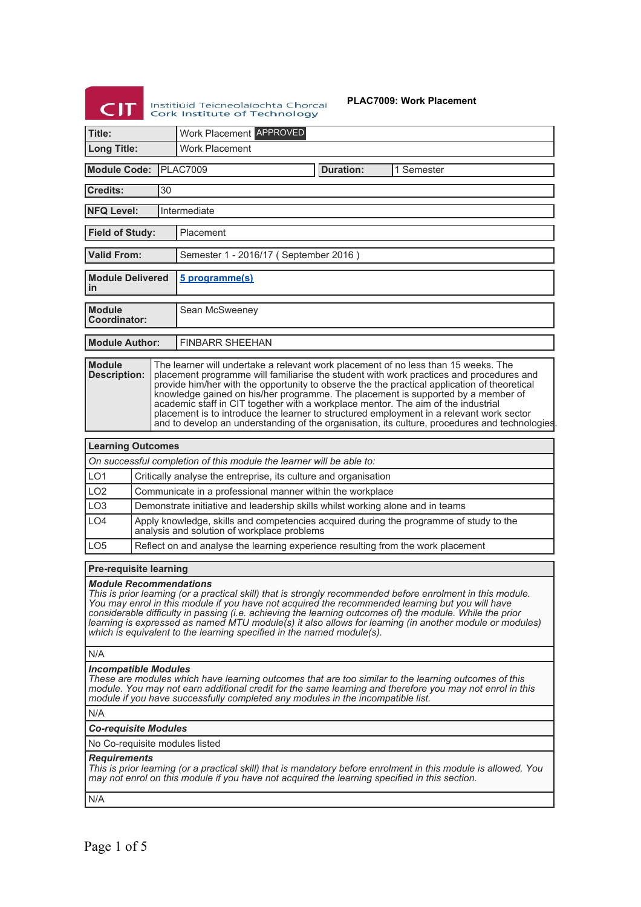| Institiu |
|----------|
| Cork     |

iúid Teicneolaíochta Chorcaí<br>T**nstitute of Technology** 

**PLAC7009: Work Placement**

| Title:                                                                                                                                                                                                                                                                                                                                                                                                                                                                                                                                                                                                                                                                                       |                                           | Work Placement APPROVED                     |                                                                                  |                                                                                        |
|----------------------------------------------------------------------------------------------------------------------------------------------------------------------------------------------------------------------------------------------------------------------------------------------------------------------------------------------------------------------------------------------------------------------------------------------------------------------------------------------------------------------------------------------------------------------------------------------------------------------------------------------------------------------------------------------|-------------------------------------------|---------------------------------------------|----------------------------------------------------------------------------------|----------------------------------------------------------------------------------------|
| <b>Long Title:</b>                                                                                                                                                                                                                                                                                                                                                                                                                                                                                                                                                                                                                                                                           |                                           | <b>Work Placement</b>                       |                                                                                  |                                                                                        |
|                                                                                                                                                                                                                                                                                                                                                                                                                                                                                                                                                                                                                                                                                              |                                           |                                             |                                                                                  |                                                                                        |
| <b>Module Code:</b>                                                                                                                                                                                                                                                                                                                                                                                                                                                                                                                                                                                                                                                                          |                                           | <b>PLAC7009</b>                             | <b>Duration:</b>                                                                 | 1 Semester                                                                             |
| <b>Credits:</b>                                                                                                                                                                                                                                                                                                                                                                                                                                                                                                                                                                                                                                                                              | 30                                        |                                             |                                                                                  |                                                                                        |
| <b>NFQ Level:</b>                                                                                                                                                                                                                                                                                                                                                                                                                                                                                                                                                                                                                                                                            |                                           | Intermediate                                |                                                                                  |                                                                                        |
| <b>Field of Study:</b><br>Placement                                                                                                                                                                                                                                                                                                                                                                                                                                                                                                                                                                                                                                                          |                                           |                                             |                                                                                  |                                                                                        |
| <b>Valid From:</b>                                                                                                                                                                                                                                                                                                                                                                                                                                                                                                                                                                                                                                                                           | Semester 1 - 2016/17 (September 2016)     |                                             |                                                                                  |                                                                                        |
| in                                                                                                                                                                                                                                                                                                                                                                                                                                                                                                                                                                                                                                                                                           | <b>Module Delivered</b><br>5 programme(s) |                                             |                                                                                  |                                                                                        |
| <b>Module</b><br>Coordinator:                                                                                                                                                                                                                                                                                                                                                                                                                                                                                                                                                                                                                                                                |                                           | Sean McSweeney                              |                                                                                  |                                                                                        |
| <b>Module Author:</b>                                                                                                                                                                                                                                                                                                                                                                                                                                                                                                                                                                                                                                                                        |                                           | <b>FINBARR SHEEHAN</b>                      |                                                                                  |                                                                                        |
| <b>Module</b><br>The learner will undertake a relevant work placement of no less than 15 weeks. The<br><b>Description:</b><br>placement programme will familiarise the student with work practices and procedures and<br>provide him/her with the opportunity to observe the the practical application of theoretical<br>knowledge gained on his/her programme. The placement is supported by a member of<br>academic staff in CIT together with a workplace mentor. The aim of the industrial<br>placement is to introduce the learner to structured employment in a relevant work sector<br>and to develop an understanding of the organisation, its culture, procedures and technologies. |                                           |                                             |                                                                                  |                                                                                        |
| <b>Learning Outcomes</b>                                                                                                                                                                                                                                                                                                                                                                                                                                                                                                                                                                                                                                                                     |                                           |                                             |                                                                                  |                                                                                        |
|                                                                                                                                                                                                                                                                                                                                                                                                                                                                                                                                                                                                                                                                                              |                                           |                                             | On successful completion of this module the learner will be able to:             |                                                                                        |
| LO <sub>1</sub>                                                                                                                                                                                                                                                                                                                                                                                                                                                                                                                                                                                                                                                                              |                                           |                                             | Critically analyse the entreprise, its culture and organisation                  |                                                                                        |
| LO <sub>2</sub>                                                                                                                                                                                                                                                                                                                                                                                                                                                                                                                                                                                                                                                                              |                                           |                                             | Communicate in a professional manner within the workplace                        |                                                                                        |
| LO <sub>3</sub><br>LO <sub>4</sub>                                                                                                                                                                                                                                                                                                                                                                                                                                                                                                                                                                                                                                                           |                                           |                                             | Demonstrate initiative and leadership skills whilst working alone and in teams   | Apply knowledge, skills and competencies acquired during the programme of study to the |
|                                                                                                                                                                                                                                                                                                                                                                                                                                                                                                                                                                                                                                                                                              |                                           | analysis and solution of workplace problems |                                                                                  |                                                                                        |
| LO <sub>5</sub>                                                                                                                                                                                                                                                                                                                                                                                                                                                                                                                                                                                                                                                                              |                                           |                                             | Reflect on and analyse the learning experience resulting from the work placement |                                                                                        |
| <b>Pre-requisite learning</b>                                                                                                                                                                                                                                                                                                                                                                                                                                                                                                                                                                                                                                                                |                                           |                                             |                                                                                  |                                                                                        |
| <b>Module Recommendations</b><br>This is prior learning (or a practical skill) that is strongly recommended before enrolment in this module.<br>You may enrol in this module if you have not acquired the recommended learning but you will have<br>considerable difficulty in passing (i.e. achieving the learning outcomes of) the module. While the prior<br>learning is expressed as named MTU module(s) it also allows for learning (in another module or modules)<br>which is equivalent to the learning specified in the named module(s).                                                                                                                                             |                                           |                                             |                                                                                  |                                                                                        |
| N/A                                                                                                                                                                                                                                                                                                                                                                                                                                                                                                                                                                                                                                                                                          |                                           |                                             |                                                                                  |                                                                                        |
| <b>Incompatible Modules</b><br>These are modules which have learning outcomes that are too similar to the learning outcomes of this<br>module. You may not earn additional credit for the same learning and therefore you may not enrol in this<br>module if you have successfully completed any modules in the incompatible list.                                                                                                                                                                                                                                                                                                                                                           |                                           |                                             |                                                                                  |                                                                                        |
| N/A                                                                                                                                                                                                                                                                                                                                                                                                                                                                                                                                                                                                                                                                                          |                                           |                                             |                                                                                  |                                                                                        |
| <b>Co-requisite Modules</b>                                                                                                                                                                                                                                                                                                                                                                                                                                                                                                                                                                                                                                                                  |                                           |                                             |                                                                                  |                                                                                        |
| No Co-requisite modules listed                                                                                                                                                                                                                                                                                                                                                                                                                                                                                                                                                                                                                                                               |                                           |                                             |                                                                                  |                                                                                        |
| <b>Requirements</b><br>This is prior learning (or a practical skill) that is mandatory before enrolment in this module is allowed. You<br>may not enrol on this module if you have not acquired the learning specified in this section.                                                                                                                                                                                                                                                                                                                                                                                                                                                      |                                           |                                             |                                                                                  |                                                                                        |
| N/A                                                                                                                                                                                                                                                                                                                                                                                                                                                                                                                                                                                                                                                                                          |                                           |                                             |                                                                                  |                                                                                        |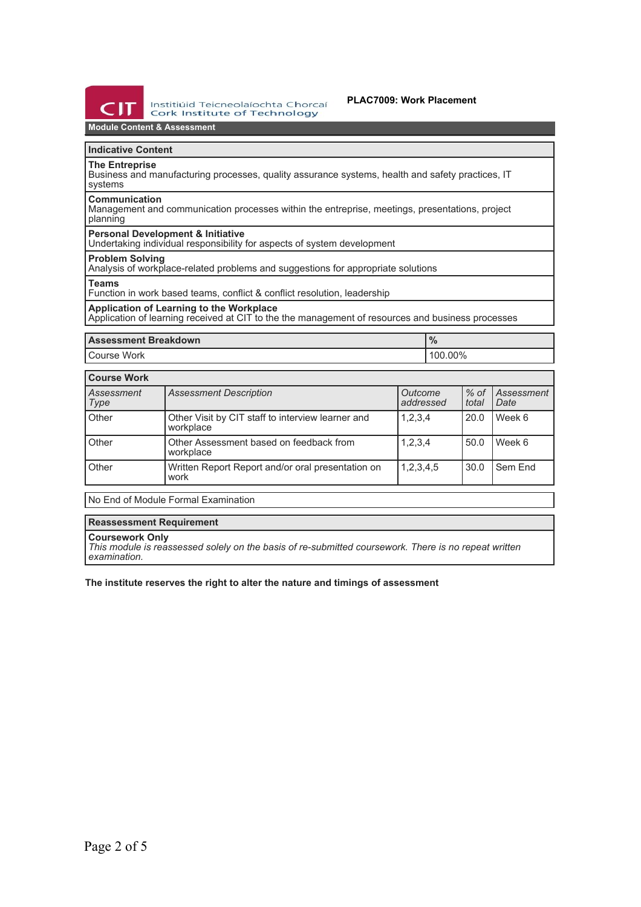

Institiúid Teicneolaíochta Chorcaí **Cork Institute of Technology** 

# **PLAC7009: Work Placement**

# **Module Content & Assessment**

# **Indicative Content**

**The Entreprise**

Business and manufacturing processes, quality assurance systems, health and safety practices, IT systems

### **Communication**

Management and communication processes within the entreprise, meetings, presentations, project planning

# **Personal Development & Initiative**

Undertaking individual responsibility for aspects of system development

# **Problem Solving**

Analysis of workplace-related problems and suggestions for appropriate solutions

#### **Teams**

Function in work based teams, conflict & conflict resolution, leadership

# **Application of Learning to the Workplace**

Application of learning received at CIT to the the management of resources and business processes

| <b>Assessment Breakdown</b> | 70      |  |
|-----------------------------|---------|--|
| Course Work                 | 100.00% |  |

| <b>Course Work</b> |                                                                |                      |                 |                    |  |
|--------------------|----------------------------------------------------------------|----------------------|-----------------|--------------------|--|
| Assessment<br>Type | <b>Assessment Description</b>                                  | Outcome<br>addressed | $%$ of<br>total | Assessment<br>Date |  |
| Other              | Other Visit by CIT staff to interview learner and<br>workplace | 1,2,3,4              | 20.0            | Week 6             |  |
| Other              | Other Assessment based on feedback from<br>workplace           | 1,2,3,4              | 50.0            | Week 6             |  |
| Other              | Written Report Report and/or oral presentation on<br>work      | 1,2,3,4,5            | 30.0            | Sem End            |  |

No End of Module Formal Examination

# **Reassessment Requirement**

### **Coursework Only**

*This module is reassessed solely on the basis of re-submitted coursework. There is no repeat written examination.*

# **The institute reserves the right to alter the nature and timings of assessment**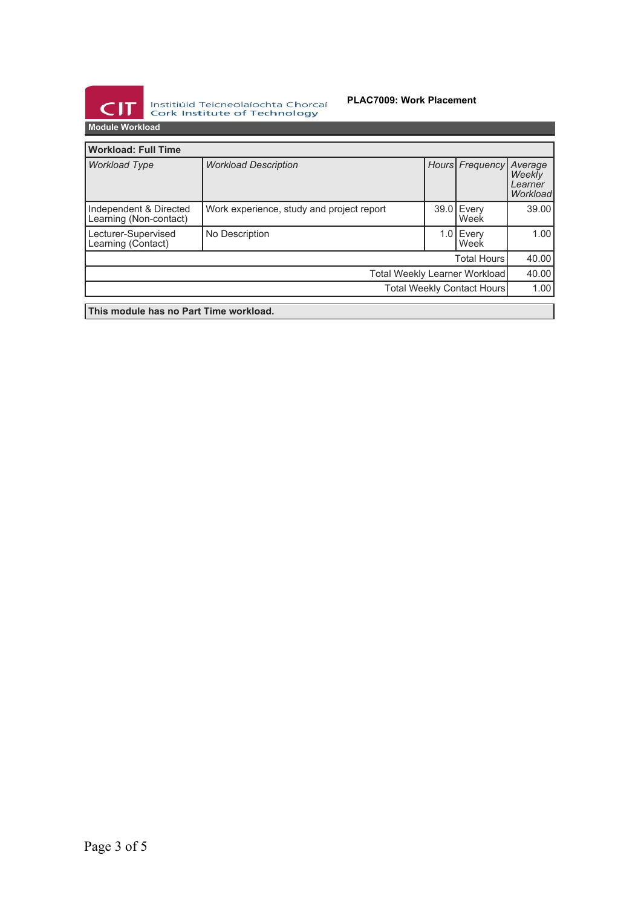

Institiúid Teicneolaíochta Chorcaí<br>Cork Institute of Technology

# **PLAC7009: Work Placement**

| <b>Workload: Full Time</b>                       |                                           |       |                   |                                          |
|--------------------------------------------------|-------------------------------------------|-------|-------------------|------------------------------------------|
| <b>Workload Type</b>                             | <b>Workload Description</b>               |       | Hours Frequency   | Average<br>Weekly<br>Learner<br>Workload |
| Independent & Directed<br>Learning (Non-contact) | Work experience, study and project report | 39.01 | Every<br>Week     | 39.00                                    |
| Lecturer-Supervised<br>Learning (Contact)        | No Description                            |       | 1.0 Every<br>Week | 1.00                                     |
| <b>Total Hours</b>                               |                                           |       | 40.00             |                                          |
| <b>Total Weekly Learner Workload</b>             |                                           |       | 40.00             |                                          |
| Total Weekly Contact Hours                       |                                           |       | 1.00              |                                          |
| This module has no Part Time workload.           |                                           |       |                   |                                          |
|                                                  |                                           |       |                   |                                          |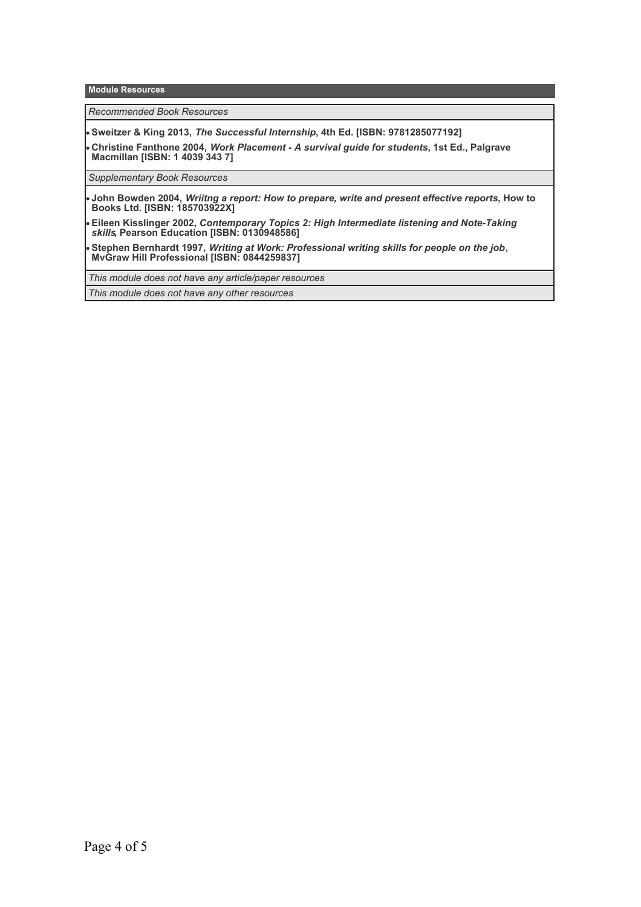**Module Resources**

*Recommended Book Resources*

**Sweitzer & King 2013,** *The Successful Internship***, 4th Ed. [ISBN: 9781285077192]**

**Christine Fanthone 2004,** *Work Placement - A survival guide for students***, 1st Ed., Palgrave Macmillan [ISBN: 1 4039 343 7]**

*Supplementary Book Resources*

**John Bowden 2004,** *Wriitng a report: How to prepare, write and present effective reports***, How to Books Ltd. [ISBN: 185703922X]**

**Eileen Kisslinger 2002,** *Contemporary Topics 2: High Intermediate listening and Note-Taking skills***, Pearson Education [ISBN: 0130948586]**

**Stephen Bernhardt 1997,** *Writing at Work: Professional writing skills for people on the job***, MvGraw Hill Professional [ISBN: 0844259837]**

*This module does not have any article/paper resources*

*This module does not have any other resources*